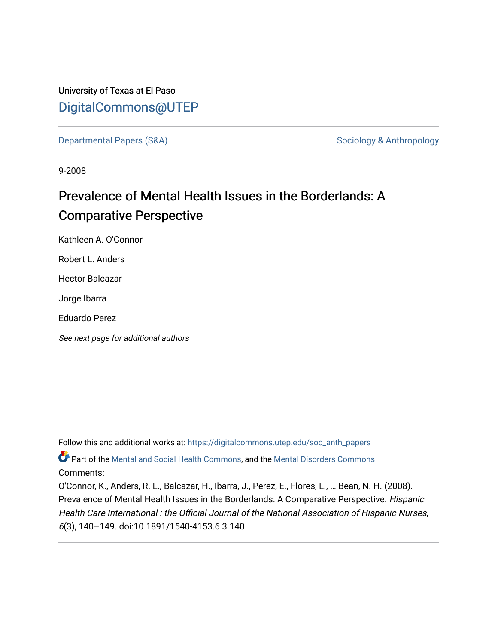### University of Texas at El Paso [DigitalCommons@UTEP](https://digitalcommons.utep.edu/)

[Departmental Papers \(S&A\)](https://digitalcommons.utep.edu/soc_anth_papers) [Sociology & Anthropology](https://digitalcommons.utep.edu/soc_anth) & Anthropology

9-2008

# Prevalence of Mental Health Issues in the Borderlands: A Comparative Perspective

Kathleen A. O'Connor Robert L. Anders

Hector Balcazar

Jorge Ibarra

Eduardo Perez

See next page for additional authors

Follow this and additional works at: [https://digitalcommons.utep.edu/soc\\_anth\\_papers](https://digitalcommons.utep.edu/soc_anth_papers?utm_source=digitalcommons.utep.edu%2Fsoc_anth_papers%2F56&utm_medium=PDF&utm_campaign=PDFCoverPages)

Part of the [Mental and Social Health Commons,](http://network.bepress.com/hgg/discipline/709?utm_source=digitalcommons.utep.edu%2Fsoc_anth_papers%2F56&utm_medium=PDF&utm_campaign=PDFCoverPages) and the [Mental Disorders Commons](http://network.bepress.com/hgg/discipline/968?utm_source=digitalcommons.utep.edu%2Fsoc_anth_papers%2F56&utm_medium=PDF&utm_campaign=PDFCoverPages) Comments:

O'Connor, K., Anders, R. L., Balcazar, H., Ibarra, J., Perez, E., Flores, L., … Bean, N. H. (2008). Prevalence of Mental Health Issues in the Borderlands: A Comparative Perspective. Hispanic Health Care International : the Official Journal of the National Association of Hispanic Nurses, 6(3), 140–149. doi:10.1891/1540-4153.6.3.140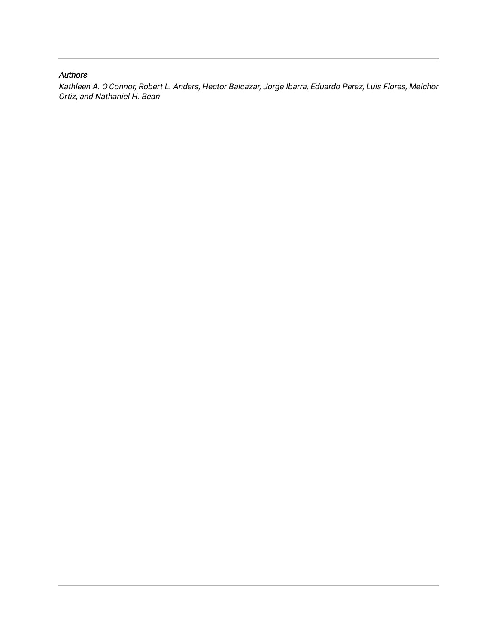#### Authors

Kathleen A. O'Connor, Robert L. Anders, Hector Balcazar, Jorge Ibarra, Eduardo Perez, Luis Flores, Melchor Ortiz, and Nathaniel H. Bean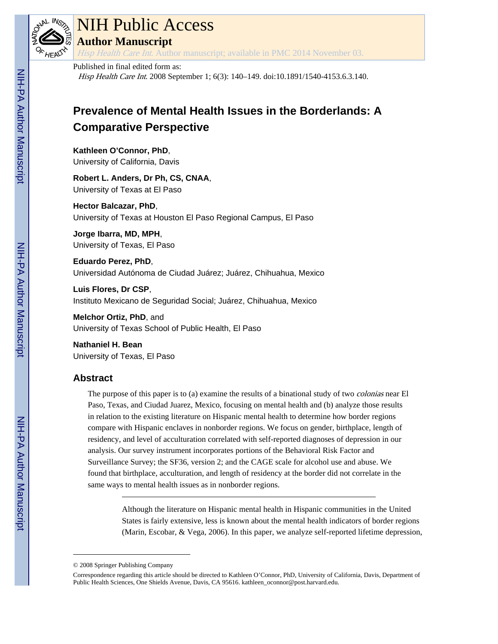

# NIH Public Access

**Author Manuscript**

Hisp Health Care Int. Author manuscript; available in PMC 2014 November 03.

#### Published in final edited form as: Hisp Health Care Int. 2008 September 1; 6(3): 140–149. doi:10.1891/1540-4153.6.3.140.

## **Prevalence of Mental Health Issues in the Borderlands: A Comparative Perspective**

**Kathleen O'Connor, PhD**, University of California, Davis

**Robert L. Anders, Dr Ph, CS, CNAA**, University of Texas at El Paso

**Hector Balcazar, PhD**, University of Texas at Houston El Paso Regional Campus, El Paso

**Jorge Ibarra, MD, MPH**, University of Texas, El Paso

**Eduardo Perez, PhD**, Universidad Autónoma de Ciudad Juárez; Juárez, Chihuahua, Mexico

**Luis Flores, Dr CSP**, Instituto Mexicano de Seguridad Social; Juárez, Chihuahua, Mexico

**Melchor Ortiz, PhD**, and University of Texas School of Public Health, El Paso

**Nathaniel H. Bean** University of Texas, El Paso

#### **Abstract**

The purpose of this paper is to (a) examine the results of a binational study of two *colonias* near El Paso, Texas, and Ciudad Juarez, Mexico, focusing on mental health and (b) analyze those results in relation to the existing literature on Hispanic mental health to determine how border regions compare with Hispanic enclaves in nonborder regions. We focus on gender, birthplace, length of residency, and level of acculturation correlated with self-reported diagnoses of depression in our analysis. Our survey instrument incorporates portions of the Behavioral Risk Factor and Surveillance Survey; the SF36, version 2; and the CAGE scale for alcohol use and abuse. We found that birthplace, acculturation, and length of residency at the border did not correlate in the same ways to mental health issues as in nonborder regions.

> Although the literature on Hispanic mental health in Hispanic communities in the United States is fairly extensive, less is known about the mental health indicators of border regions (Marin, Escobar, & Vega, 2006). In this paper, we analyze self-reported lifetime depression,

<sup>© 2008</sup> Springer Publishing Company

Correspondence regarding this article should be directed to Kathleen O'Connor, PhD, University of California, Davis, Department of Public Health Sciences, One Shields Avenue, Davis, CA 95616. kathleen\_oconnor@post.harvard.edu.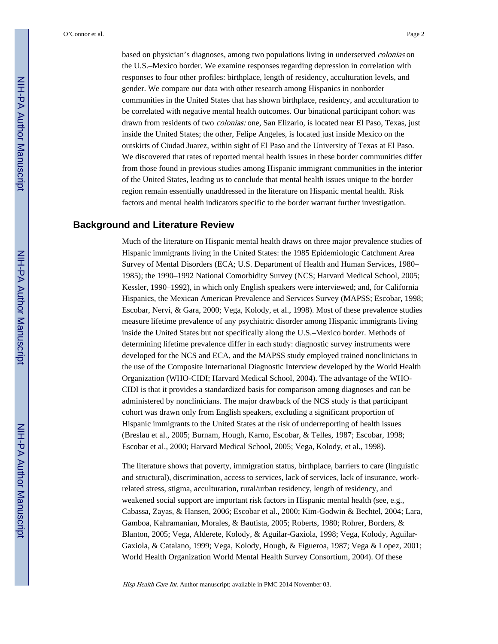based on physician's diagnoses, among two populations living in underserved colonias on the U.S.–Mexico border. We examine responses regarding depression in correlation with responses to four other profiles: birthplace, length of residency, acculturation levels, and gender. We compare our data with other research among Hispanics in nonborder communities in the United States that has shown birthplace, residency, and acculturation to be correlated with negative mental health outcomes. Our binational participant cohort was drawn from residents of two colonias: one, San Elizario, is located near El Paso, Texas, just inside the United States; the other, Felipe Angeles, is located just inside Mexico on the outskirts of Ciudad Juarez, within sight of El Paso and the University of Texas at El Paso. We discovered that rates of reported mental health issues in these border communities differ from those found in previous studies among Hispanic immigrant communities in the interior of the United States, leading us to conclude that mental health issues unique to the border region remain essentially unaddressed in the literature on Hispanic mental health. Risk factors and mental health indicators specific to the border warrant further investigation.

#### **Background and Literature Review**

Much of the literature on Hispanic mental health draws on three major prevalence studies of Hispanic immigrants living in the United States: the 1985 Epidemiologic Catchment Area Survey of Mental Disorders (ECA; U.S. Department of Health and Human Services, 1980– 1985); the 1990–1992 National Comorbidity Survey (NCS; Harvard Medical School, 2005; Kessler, 1990–1992), in which only English speakers were interviewed; and, for California Hispanics, the Mexican American Prevalence and Services Survey (MAPSS; Escobar, 1998; Escobar, Nervi, & Gara, 2000; Vega, Kolody, et al., 1998). Most of these prevalence studies measure lifetime prevalence of any psychiatric disorder among Hispanic immigrants living inside the United States but not specifically along the U.S.–Mexico border. Methods of determining lifetime prevalence differ in each study: diagnostic survey instruments were developed for the NCS and ECA, and the MAPSS study employed trained nonclinicians in the use of the Composite International Diagnostic Interview developed by the World Health Organization (WHO-CIDI; Harvard Medical School, 2004). The advantage of the WHO-CIDI is that it provides a standardized basis for comparison among diagnoses and can be administered by nonclinicians. The major drawback of the NCS study is that participant cohort was drawn only from English speakers, excluding a significant proportion of Hispanic immigrants to the United States at the risk of underreporting of health issues (Breslau et al., 2005; Burnam, Hough, Karno, Escobar, & Telles, 1987; Escobar, 1998; Escobar et al., 2000; Harvard Medical School, 2005; Vega, Kolody, et al., 1998).

The literature shows that poverty, immigration status, birthplace, barriers to care (linguistic and structural), discrimination, access to services, lack of services, lack of insurance, workrelated stress, stigma, acculturation, rural/urban residency, length of residency, and weakened social support are important risk factors in Hispanic mental health (see, e.g., Cabassa, Zayas, & Hansen, 2006; Escobar et al., 2000; Kim-Godwin & Bechtel, 2004; Lara, Gamboa, Kahramanian, Morales, & Bautista, 2005; Roberts, 1980; Rohrer, Borders, & Blanton, 2005; Vega, Alderete, Kolody, & Aguilar-Gaxiola, 1998; Vega, Kolody, Aguilar-Gaxiola, & Catalano, 1999; Vega, Kolody, Hough, & Figueroa, 1987; Vega & Lopez, 2001; World Health Organization World Mental Health Survey Consortium, 2004). Of these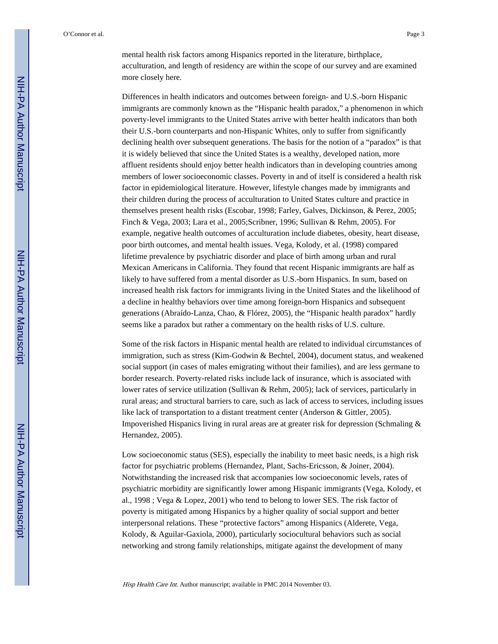O'Connor et al. Page 3

Differences in health indicators and outcomes between foreign- and U.S.-born Hispanic immigrants are commonly known as the "Hispanic health paradox," a phenomenon in which poverty-level immigrants to the United States arrive with better health indicators than both their U.S.-born counterparts and non-Hispanic Whites, only to suffer from significantly declining health over subsequent generations. The basis for the notion of a "paradox" is that it is widely believed that since the United States is a wealthy, developed nation, more affluent residents should enjoy better health indicators than in developing countries among members of lower socioeconomic classes. Poverty in and of itself is considered a health risk factor in epidemiological literature. However, lifestyle changes made by immigrants and their children during the process of acculturation to United States culture and practice in themselves present health risks (Escobar, 1998; Farley, Galves, Dickinson, & Perez, 2005; Finch & Vega, 2003; Lara et al., 2005;Scribner, 1996; Sullivan & Rehm, 2005). For example, negative health outcomes of acculturation include diabetes, obesity, heart disease, poor birth outcomes, and mental health issues. Vega, Kolody, et al. (1998) compared lifetime prevalence by psychiatric disorder and place of birth among urban and rural Mexican Americans in California. They found that recent Hispanic immigrants are half as likely to have suffered from a mental disorder as U.S.-born Hispanics. In sum, based on increased health risk factors for immigrants living in the United States and the likelihood of a decline in healthy behaviors over time among foreign-born Hispanics and subsequent generations (Abraído-Lanza, Chao, & Flórez, 2005), the "Hispanic health paradox" hardly seems like a paradox but rather a commentary on the health risks of U.S. culture.

Some of the risk factors in Hispanic mental health are related to individual circumstances of immigration, such as stress (Kim-Godwin & Bechtel, 2004), document status, and weakened social support (in cases of males emigrating without their families), and are less germane to border research. Poverty-related risks include lack of insurance, which is associated with lower rates of service utilization (Sullivan & Rehm, 2005); lack of services, particularly in rural areas; and structural barriers to care, such as lack of access to services, including issues like lack of transportation to a distant treatment center (Anderson & Gittler, 2005). Impoverished Hispanics living in rural areas are at greater risk for depression (Schmaling & Hernandez, 2005).

Low socioeconomic status (SES), especially the inability to meet basic needs, is a high risk factor for psychiatric problems (Hernandez, Plant, Sachs-Ericsson, & Joiner, 2004). Notwithstanding the increased risk that accompanies low socioeconomic levels, rates of psychiatric morbidity are significantly lower among Hispanic immigrants (Vega, Kolody, et al., 1998 ; Vega & Lopez, 2001) who tend to belong to lower SES. The risk factor of poverty is mitigated among Hispanics by a higher quality of social support and better interpersonal relations. These "protective factors" among Hispanics (Alderete, Vega, Kolody, & Aguilar-Gaxiola, 2000), particularly sociocultural behaviors such as social networking and strong family relationships, mitigate against the development of many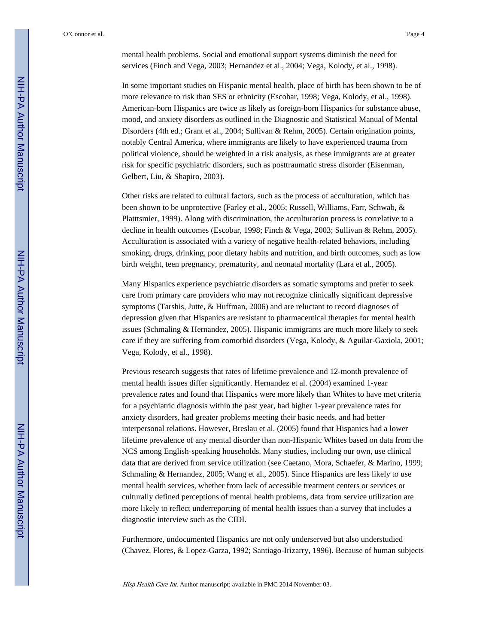O'Connor et al. Page 4

mental health problems. Social and emotional support systems diminish the need for services (Finch and Vega, 2003; Hernandez et al., 2004; Vega, Kolody, et al., 1998).

In some important studies on Hispanic mental health, place of birth has been shown to be of more relevance to risk than SES or ethnicity (Escobar, 1998; Vega, Kolody, et al., 1998). American-born Hispanics are twice as likely as foreign-born Hispanics for substance abuse, mood, and anxiety disorders as outlined in the Diagnostic and Statistical Manual of Mental Disorders (4th ed.; Grant et al., 2004; Sullivan & Rehm, 2005). Certain origination points, notably Central America, where immigrants are likely to have experienced trauma from political violence, should be weighted in a risk analysis, as these immigrants are at greater risk for specific psychiatric disorders, such as posttraumatic stress disorder (Eisenman, Gelbert, Liu, & Shapiro, 2003).

Other risks are related to cultural factors, such as the process of acculturation, which has been shown to be unprotective (Farley et al., 2005; Russell, Williams, Farr, Schwab, & Platttsmier, 1999). Along with discrimination, the acculturation process is correlative to a decline in health outcomes (Escobar, 1998; Finch & Vega, 2003; Sullivan & Rehm, 2005). Acculturation is associated with a variety of negative health-related behaviors, including smoking, drugs, drinking, poor dietary habits and nutrition, and birth outcomes, such as low birth weight, teen pregnancy, prematurity, and neonatal mortality (Lara et al., 2005).

Many Hispanics experience psychiatric disorders as somatic symptoms and prefer to seek care from primary care providers who may not recognize clinically significant depressive symptoms (Tarshis, Jutte, & Huffman, 2006) and are reluctant to record diagnoses of depression given that Hispanics are resistant to pharmaceutical therapies for mental health issues (Schmaling & Hernandez, 2005). Hispanic immigrants are much more likely to seek care if they are suffering from comorbid disorders (Vega, Kolody, & Aguilar-Gaxiola, 2001; Vega, Kolody, et al., 1998).

Previous research suggests that rates of lifetime prevalence and 12-month prevalence of mental health issues differ significantly. Hernandez et al. (2004) examined 1-year prevalence rates and found that Hispanics were more likely than Whites to have met criteria for a psychiatric diagnosis within the past year, had higher 1-year prevalence rates for anxiety disorders, had greater problems meeting their basic needs, and had better interpersonal relations. However, Breslau et al. (2005) found that Hispanics had a lower lifetime prevalence of any mental disorder than non-Hispanic Whites based on data from the NCS among English-speaking households. Many studies, including our own, use clinical data that are derived from service utilization (see Caetano, Mora, Schaefer, & Marino, 1999; Schmaling & Hernandez, 2005; Wang et al., 2005). Since Hispanics are less likely to use mental health services, whether from lack of accessible treatment centers or services or culturally defined perceptions of mental health problems, data from service utilization are more likely to reflect underreporting of mental health issues than a survey that includes a diagnostic interview such as the CIDI.

Furthermore, undocumented Hispanics are not only underserved but also understudied (Chavez, Flores, & Lopez-Garza, 1992; Santiago-Irizarry, 1996). Because of human subjects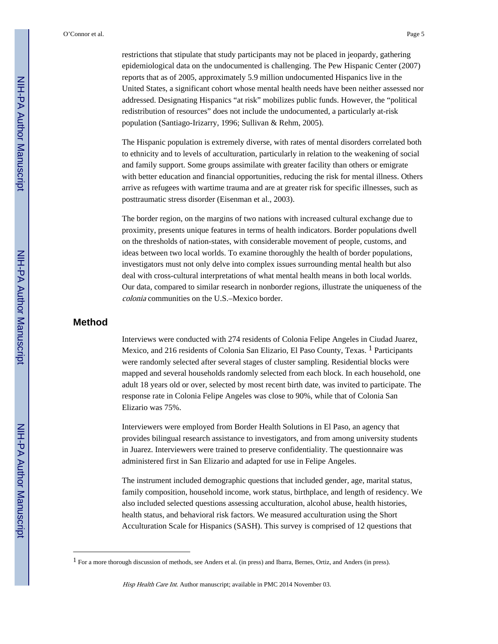restrictions that stipulate that study participants may not be placed in jeopardy, gathering epidemiological data on the undocumented is challenging. The Pew Hispanic Center (2007) reports that as of 2005, approximately 5.9 million undocumented Hispanics live in the United States, a significant cohort whose mental health needs have been neither assessed nor addressed. Designating Hispanics "at risk" mobilizes public funds. However, the "political redistribution of resources" does not include the undocumented, a particularly at-risk population (Santiago-Irizarry, 1996; Sullivan & Rehm, 2005).

The Hispanic population is extremely diverse, with rates of mental disorders correlated both to ethnicity and to levels of acculturation, particularly in relation to the weakening of social and family support. Some groups assimilate with greater facility than others or emigrate with better education and financial opportunities, reducing the risk for mental illness. Others arrive as refugees with wartime trauma and are at greater risk for specific illnesses, such as posttraumatic stress disorder (Eisenman et al., 2003).

The border region, on the margins of two nations with increased cultural exchange due to proximity, presents unique features in terms of health indicators. Border populations dwell on the thresholds of nation-states, with considerable movement of people, customs, and ideas between two local worlds. To examine thoroughly the health of border populations, investigators must not only delve into complex issues surrounding mental health but also deal with cross-cultural interpretations of what mental health means in both local worlds. Our data, compared to similar research in nonborder regions, illustrate the uniqueness of the colonia communities on the U.S.–Mexico border.

#### **Method**

Interviews were conducted with 274 residents of Colonia Felipe Angeles in Ciudad Juarez, Mexico, and 216 residents of Colonia San Elizario, El Paso County, Texas. 1 Participants were randomly selected after several stages of cluster sampling. Residential blocks were mapped and several households randomly selected from each block. In each household, one adult 18 years old or over, selected by most recent birth date, was invited to participate. The response rate in Colonia Felipe Angeles was close to 90%, while that of Colonia San Elizario was 75%.

Interviewers were employed from Border Health Solutions in El Paso, an agency that provides bilingual research assistance to investigators, and from among university students in Juarez. Interviewers were trained to preserve confidentiality. The questionnaire was administered first in San Elizario and adapted for use in Felipe Angeles.

The instrument included demographic questions that included gender, age, marital status, family composition, household income, work status, birthplace, and length of residency. We also included selected questions assessing acculturation, alcohol abuse, health histories, health status, and behavioral risk factors. We measured acculturation using the Short Acculturation Scale for Hispanics (SASH). This survey is comprised of 12 questions that

 $<sup>1</sup>$  For a more thorough discussion of methods, see Anders et al. (in press) and Ibarra, Bernes, Ortiz, and Anders (in press).</sup>

Hisp Health Care Int. Author manuscript; available in PMC 2014 November 03.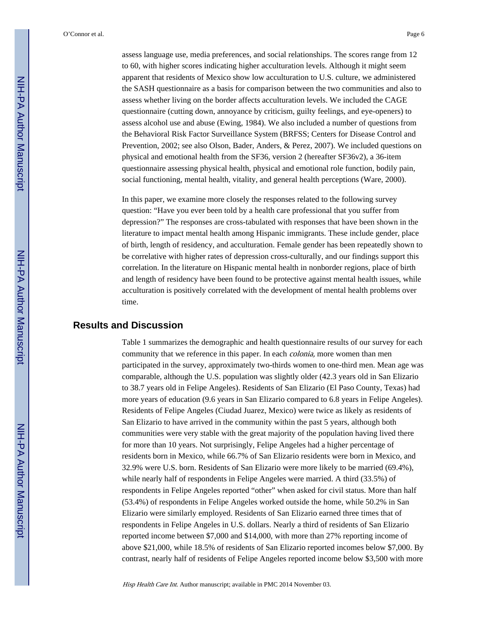assess language use, media preferences, and social relationships. The scores range from 12 to 60, with higher scores indicating higher acculturation levels. Although it might seem apparent that residents of Mexico show low acculturation to U.S. culture, we administered the SASH questionnaire as a basis for comparison between the two communities and also to assess whether living on the border affects acculturation levels. We included the CAGE questionnaire (cutting down, annoyance by criticism, guilty feelings, and eye-openers) to assess alcohol use and abuse (Ewing, 1984). We also included a number of questions from the Behavioral Risk Factor Surveillance System (BRFSS; Centers for Disease Control and Prevention, 2002; see also Olson, Bader, Anders, & Perez, 2007). We included questions on physical and emotional health from the SF36, version 2 (hereafter SF36v2), a 36-item questionnaire assessing physical health, physical and emotional role function, bodily pain, social functioning, mental health, vitality, and general health perceptions (Ware, 2000).

In this paper, we examine more closely the responses related to the following survey question: "Have you ever been told by a health care professional that you suffer from depression?" The responses are cross-tabulated with responses that have been shown in the literature to impact mental health among Hispanic immigrants. These include gender, place of birth, length of residency, and acculturation. Female gender has been repeatedly shown to be correlative with higher rates of depression cross-culturally, and our findings support this correlation. In the literature on Hispanic mental health in nonborder regions, place of birth and length of residency have been found to be protective against mental health issues, while acculturation is positively correlated with the development of mental health problems over time.

#### **Results and Discussion**

Table 1 summarizes the demographic and health questionnaire results of our survey for each community that we reference in this paper. In each *colonia*, more women than men participated in the survey, approximately two-thirds women to one-third men. Mean age was comparable, although the U.S. population was slightly older (42.3 years old in San Elizario to 38.7 years old in Felipe Angeles). Residents of San Elizario (El Paso County, Texas) had more years of education (9.6 years in San Elizario compared to 6.8 years in Felipe Angeles). Residents of Felipe Angeles (Ciudad Juarez, Mexico) were twice as likely as residents of San Elizario to have arrived in the community within the past 5 years, although both communities were very stable with the great majority of the population having lived there for more than 10 years. Not surprisingly, Felipe Angeles had a higher percentage of residents born in Mexico, while 66.7% of San Elizario residents were born in Mexico, and 32.9% were U.S. born. Residents of San Elizario were more likely to be married (69.4%), while nearly half of respondents in Felipe Angeles were married. A third (33.5%) of respondents in Felipe Angeles reported "other" when asked for civil status. More than half (53.4%) of respondents in Felipe Angeles worked outside the home, while 50.2% in San Elizario were similarly employed. Residents of San Elizario earned three times that of respondents in Felipe Angeles in U.S. dollars. Nearly a third of residents of San Elizario reported income between \$7,000 and \$14,000, with more than 27% reporting income of above \$21,000, while 18.5% of residents of San Elizario reported incomes below \$7,000. By contrast, nearly half of residents of Felipe Angeles reported income below \$3,500 with more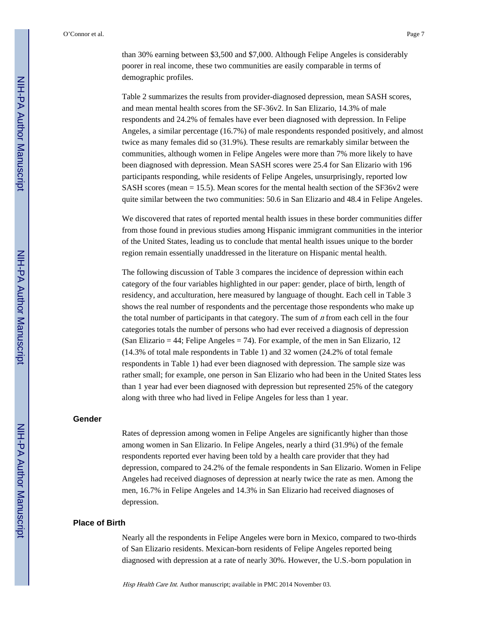than 30% earning between \$3,500 and \$7,000. Although Felipe Angeles is considerably poorer in real income, these two communities are easily comparable in terms of demographic profiles.

Table 2 summarizes the results from provider-diagnosed depression, mean SASH scores, and mean mental health scores from the SF-36v2. In San Elizario, 14.3% of male respondents and 24.2% of females have ever been diagnosed with depression. In Felipe Angeles, a similar percentage (16.7%) of male respondents responded positively, and almost twice as many females did so (31.9%). These results are remarkably similar between the communities, although women in Felipe Angeles were more than 7% more likely to have been diagnosed with depression. Mean SASH scores were 25.4 for San Elizario with 196 participants responding, while residents of Felipe Angeles, unsurprisingly, reported low SASH scores (mean = 15.5). Mean scores for the mental health section of the SF36v2 were quite similar between the two communities: 50.6 in San Elizario and 48.4 in Felipe Angeles.

We discovered that rates of reported mental health issues in these border communities differ from those found in previous studies among Hispanic immigrant communities in the interior of the United States, leading us to conclude that mental health issues unique to the border region remain essentially unaddressed in the literature on Hispanic mental health.

The following discussion of Table 3 compares the incidence of depression within each category of the four variables highlighted in our paper: gender, place of birth, length of residency, and acculturation, here measured by language of thought. Each cell in Table 3 shows the real number of respondents and the percentage those respondents who make up the total number of participants in that category. The sum of  $n$  from each cell in the four categories totals the number of persons who had ever received a diagnosis of depression (San Elizario  $= 44$ ; Felipe Angeles  $= 74$ ). For example, of the men in San Elizario, 12 (14.3% of total male respondents in Table 1) and 32 women (24.2% of total female respondents in Table 1) had ever been diagnosed with depression. The sample size was rather small; for example, one person in San Elizario who had been in the United States less than 1 year had ever been diagnosed with depression but represented 25% of the category along with three who had lived in Felipe Angeles for less than 1 year.

#### **Gender**

Rates of depression among women in Felipe Angeles are significantly higher than those among women in San Elizario. In Felipe Angeles, nearly a third (31.9%) of the female respondents reported ever having been told by a health care provider that they had depression, compared to 24.2% of the female respondents in San Elizario. Women in Felipe Angeles had received diagnoses of depression at nearly twice the rate as men. Among the men, 16.7% in Felipe Angeles and 14.3% in San Elizario had received diagnoses of depression.

#### **Place of Birth**

Nearly all the respondents in Felipe Angeles were born in Mexico, compared to two-thirds of San Elizario residents. Mexican-born residents of Felipe Angeles reported being diagnosed with depression at a rate of nearly 30%. However, the U.S.-born population in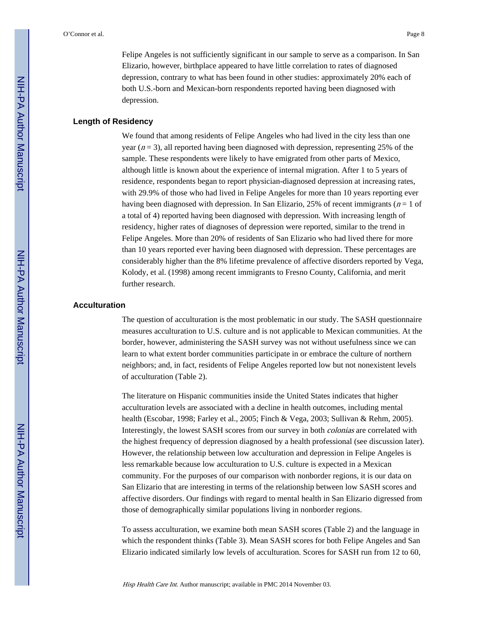Felipe Angeles is not sufficiently significant in our sample to serve as a comparison. In San Elizario, however, birthplace appeared to have little correlation to rates of diagnosed depression, contrary to what has been found in other studies: approximately 20% each of both U.S.-born and Mexican-born respondents reported having been diagnosed with depression.

#### **Length of Residency**

We found that among residents of Felipe Angeles who had lived in the city less than one year ( $n = 3$ ), all reported having been diagnosed with depression, representing 25% of the sample. These respondents were likely to have emigrated from other parts of Mexico, although little is known about the experience of internal migration. After 1 to 5 years of residence, respondents began to report physician-diagnosed depression at increasing rates, with 29.9% of those who had lived in Felipe Angeles for more than 10 years reporting ever having been diagnosed with depression. In San Elizario, 25% of recent immigrants ( $n = 1$  of a total of 4) reported having been diagnosed with depression. With increasing length of residency, higher rates of diagnoses of depression were reported, similar to the trend in Felipe Angeles. More than 20% of residents of San Elizario who had lived there for more than 10 years reported ever having been diagnosed with depression. These percentages are considerably higher than the 8% lifetime prevalence of affective disorders reported by Vega, Kolody, et al. (1998) among recent immigrants to Fresno County, California, and merit further research.

#### **Acculturation**

The question of acculturation is the most problematic in our study. The SASH questionnaire measures acculturation to U.S. culture and is not applicable to Mexican communities. At the border, however, administering the SASH survey was not without usefulness since we can learn to what extent border communities participate in or embrace the culture of northern neighbors; and, in fact, residents of Felipe Angeles reported low but not nonexistent levels of acculturation (Table 2).

The literature on Hispanic communities inside the United States indicates that higher acculturation levels are associated with a decline in health outcomes, including mental health (Escobar, 1998; Farley et al., 2005; Finch & Vega, 2003; Sullivan & Rehm, 2005). Interestingly, the lowest SASH scores from our survey in both colonias are correlated with the highest frequency of depression diagnosed by a health professional (see discussion later). However, the relationship between low acculturation and depression in Felipe Angeles is less remarkable because low acculturation to U.S. culture is expected in a Mexican community. For the purposes of our comparison with nonborder regions, it is our data on San Elizario that are interesting in terms of the relationship between low SASH scores and affective disorders. Our findings with regard to mental health in San Elizario digressed from those of demographically similar populations living in nonborder regions.

To assess acculturation, we examine both mean SASH scores (Table 2) and the language in which the respondent thinks (Table 3). Mean SASH scores for both Felipe Angeles and San Elizario indicated similarly low levels of acculturation. Scores for SASH run from 12 to 60,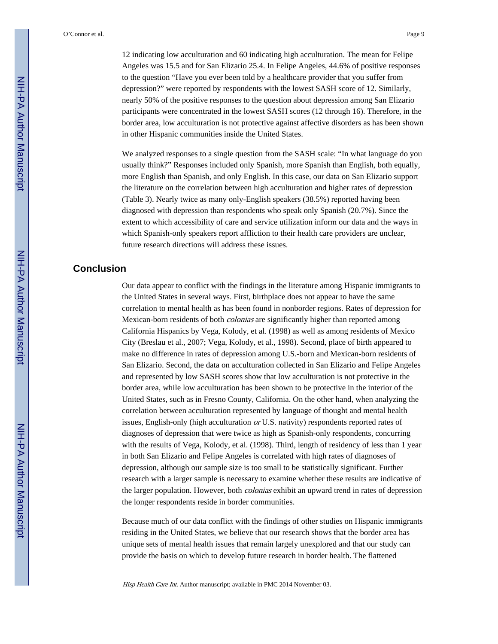12 indicating low acculturation and 60 indicating high acculturation. The mean for Felipe Angeles was 15.5 and for San Elizario 25.4. In Felipe Angeles, 44.6% of positive responses to the question "Have you ever been told by a healthcare provider that you suffer from depression?" were reported by respondents with the lowest SASH score of 12. Similarly, nearly 50% of the positive responses to the question about depression among San Elizario participants were concentrated in the lowest SASH scores (12 through 16). Therefore, in the border area, low acculturation is not protective against affective disorders as has been shown in other Hispanic communities inside the United States.

We analyzed responses to a single question from the SASH scale: "In what language do you usually think?" Responses included only Spanish, more Spanish than English, both equally, more English than Spanish, and only English. In this case, our data on San Elizario support the literature on the correlation between high acculturation and higher rates of depression (Table 3). Nearly twice as many only-English speakers (38.5%) reported having been diagnosed with depression than respondents who speak only Spanish (20.7%). Since the extent to which accessibility of care and service utilization inform our data and the ways in which Spanish-only speakers report affliction to their health care providers are unclear, future research directions will address these issues.

#### **Conclusion**

Our data appear to conflict with the findings in the literature among Hispanic immigrants to the United States in several ways. First, birthplace does not appear to have the same correlation to mental health as has been found in nonborder regions. Rates of depression for Mexican-born residents of both *colonias* are significantly higher than reported among California Hispanics by Vega, Kolody, et al. (1998) as well as among residents of Mexico City (Breslau et al., 2007; Vega, Kolody, et al., 1998). Second, place of birth appeared to make no difference in rates of depression among U.S.-born and Mexican-born residents of San Elizario. Second, the data on acculturation collected in San Elizario and Felipe Angeles and represented by low SASH scores show that low acculturation is not protective in the border area, while low acculturation has been shown to be protective in the interior of the United States, such as in Fresno County, California. On the other hand, when analyzing the correlation between acculturation represented by language of thought and mental health issues, English-only (high acculturation or U.S. nativity) respondents reported rates of diagnoses of depression that were twice as high as Spanish-only respondents, concurring with the results of Vega, Kolody, et al. (1998). Third, length of residency of less than 1 year in both San Elizario and Felipe Angeles is correlated with high rates of diagnoses of depression, although our sample size is too small to be statistically significant. Further research with a larger sample is necessary to examine whether these results are indicative of the larger population. However, both *colonias* exhibit an upward trend in rates of depression the longer respondents reside in border communities.

Because much of our data conflict with the findings of other studies on Hispanic immigrants residing in the United States, we believe that our research shows that the border area has unique sets of mental health issues that remain largely unexplored and that our study can provide the basis on which to develop future research in border health. The flattened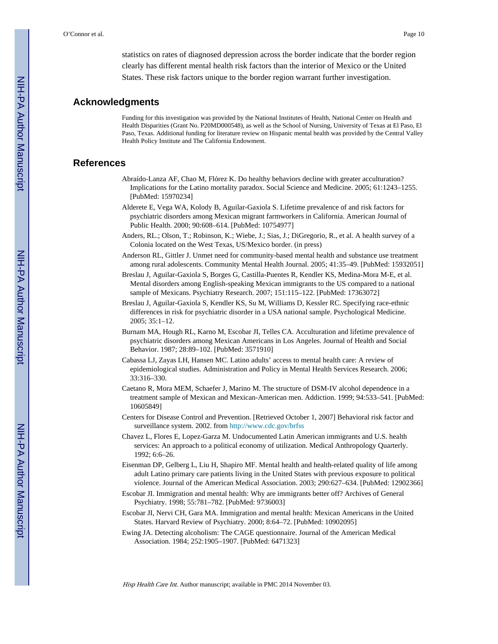statistics on rates of diagnosed depression across the border indicate that the border region clearly has different mental health risk factors than the interior of Mexico or the United States. These risk factors unique to the border region warrant further investigation.

#### **Acknowledgments**

Funding for this investigation was provided by the National Institutes of Health, National Center on Health and Health Disparities (Grant No. P20MD000548), as well as the School of Nursing, University of Texas at El Paso, El Paso, Texas. Additional funding for literature review on Hispanic mental health was provided by the Central Valley Health Policy Institute and The California Endowment.

#### **References**

- Abraído-Lanza AF, Chao M, Flórez K. Do healthy behaviors decline with greater acculturation? Implications for the Latino mortality paradox. Social Science and Medicine. 2005; 61:1243–1255. [PubMed: 15970234]
- Alderete E, Vega WA, Kolody B, Aguilar-Gaxiola S. Lifetime prevalence of and risk factors for psychiatric disorders among Mexican migrant farmworkers in California. American Journal of Public Health. 2000; 90:608–614. [PubMed: 10754977]
- Anders, RL.; Olson, T.; Robinson, K.; Wiebe, J.; Sias, J.; DiGregorio, R., et al. A health survey of a Colonia located on the West Texas, US/Mexico border. (in press)
- Anderson RL, Gittler J. Unmet need for community-based mental health and substance use treatment among rural adolescents. Community Mental Health Journal. 2005; 41:35–49. [PubMed: 15932051]
- Breslau J, Aguilar-Gaxiola S, Borges G, Castilla-Puentes R, Kendler KS, Medina-Mora M-E, et al. Mental disorders among English-speaking Mexican immigrants to the US compared to a national sample of Mexicans. Psychiatry Research. 2007; 151:115–122. [PubMed: 17363072]
- Breslau J, Aguilar-Gaxiola S, Kendler KS, Su M, Williams D, Kessler RC. Specifying race-ethnic differences in risk for psychiatric disorder in a USA national sample. Psychological Medicine. 2005; 35:1–12.
- Burnam MA, Hough RL, Karno M, Escobar JI, Telles CA. Acculturation and lifetime prevalence of psychiatric disorders among Mexican Americans in Los Angeles. Journal of Health and Social Behavior. 1987; 28:89–102. [PubMed: 3571910]
- Cabassa LJ, Zayas LH, Hansen MC. Latino adults' access to mental health care: A review of epidemiological studies. Administration and Policy in Mental Health Services Research. 2006; 33:316–330.
- Caetano R, Mora MEM, Schaefer J, Marino M. The structure of DSM-IV alcohol dependence in a treatment sample of Mexican and Mexican-American men. Addiction. 1999; 94:533–541. [PubMed: 10605849]
- Centers for Disease Control and Prevention. [Retrieved October 1, 2007] Behavioral risk factor and surveillance system. 2002. from<http://www.cdc.gov/brfss>
- Chavez L, Flores E, Lopez-Garza M. Undocumented Latin American immigrants and U.S. health services: An approach to a political economy of utilization. Medical Anthropology Quarterly. 1992; 6:6–26.
- Eisenman DP, Gelberg L, Liu H, Shapiro MF. Mental health and health-related quality of life among adult Latino primary care patients living in the United States with previous exposure to political violence. Journal of the American Medical Association. 2003; 290:627–634. [PubMed: 12902366]
- Escobar JI. Immigration and mental health: Why are immigrants better off? Archives of General Psychiatry. 1998; 55:781–782. [PubMed: 9736003]
- Escobar JI, Nervi CH, Gara MA. Immigration and mental health: Mexican Americans in the United States. Harvard Review of Psychiatry. 2000; 8:64–72. [PubMed: 10902095]
- Ewing JA. Detecting alcoholism: The CAGE questionnaire. Journal of the American Medical Association. 1984; 252:1905–1907. [PubMed: 6471323]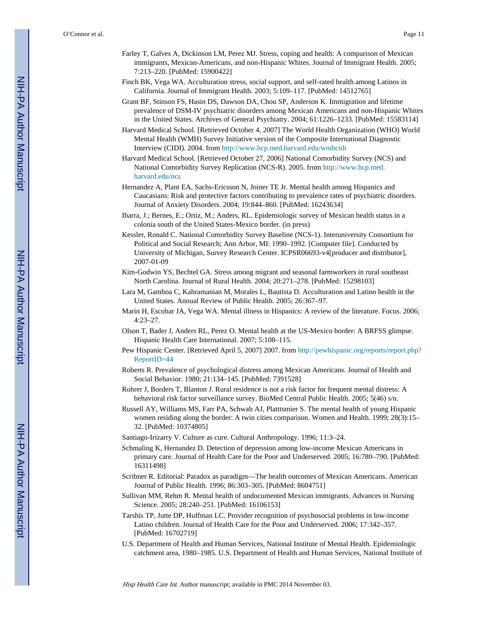- Farley T, Galves A, Dickinson LM, Perez MJ. Stress, coping and health: A comparison of Mexican immigrants, Mexican-Americans, and non-Hispanic Whites. Journal of Immigrant Health. 2005; 7:213–220. [PubMed: 15900422]
- Finch BK, Vega WA. Acculturation stress, social support, and self-rated health among Latinos in California. Journal of Immigrant Health. 2003; 5:109–117. [PubMed: 14512765]
- Grant BF, Stinson FS, Hasin DS, Dawson DA, Chou SP, Anderson K. Immigration and lifetime prevalence of DSM-IV psychiatric disorders among Mexican Americans and non-Hispanic Whites in the United States. Archives of General Psychiatry. 2004; 61:1226–1233. [PubMed: 15583114]
- Harvard Medical School. [Retrieved October 4, 2007] The World Health Organization (WHO) World Mental Health (WMH) Survey Initiative version of the Composite International Diagnostic Interview (CIDI). 2004. from <http://www.hcp.med.harvard.edu/wmhcidi>
- Harvard Medical School. [Retrieved October 27, 2006] National Comorbidity Survey (NCS) and National Comorbidity Survey Replication (NCS-R). 2005. from [http://www.hcp.med.](http://www.hcp.med.harvard.edu/ncs) [harvard.edu/ncs](http://www.hcp.med.harvard.edu/ncs)
- Hernandez A, Plant EA, Sachs-Ericsson N, Joiner TE Jr. Mental health among Hispanics and Caucasians: Risk and protective factors contributing to prevalence rates of psychiatric disorders. Journal of Anxiety Disorders. 2004; 19:844–860. [PubMed: 16243634]
- Ibarra, J.; Bernes, E.; Ortiz, M.; Anders, RL. Epidemiologic survey of Mexican health status in a colonia south of the United States-Mexico border. (in press)
- Kessler, Ronald C. National Comorbidity Survey Baseline (NCS-1). Interuniversity Consortium for Political and Social Research; Ann Arbor, MI: 1990–1992. [Computer file]. Conducted by University of Michigan, Survey Research Center. ICPSR06693-v4[producer and distributor], 2007-01-09
- Kim-Godwin YS, Bechtel GA. Stress among migrant and seasonal farmworkers in rural southeast North Carolina. Journal of Rural Health. 2004; 20:271–278. [PubMed: 15298103]
- Lara M, Gamboa C, Kahramanian M, Morales L, Bautista D. Acculturation and Latino health in the United States. Annual Review of Public Health. 2005; 26:367–97.
- Marin H, Escobar JA, Vega WA. Mental illness in Hispanics: A review of the literature. Focus. 2006; 4:23–27.
- Olson T, Bader J, Anders RL, Perez O. Mental health at the US-Mexico border: A BRFSS glimpse. Hispanic Health Care International. 2007; 5:108–115.
- Pew Hispanic Center. [Retrieved April 5, 2007] 2007. from [http://pewhispanic.org/reports/report.php?](http://pewhispanic.org/reports/report.php?ReportID=44) [ReportID=44](http://pewhispanic.org/reports/report.php?ReportID=44)
- Roberts R. Prevalence of psychological distress among Mexican Americans. Journal of Health and Social Behavior. 1980; 21:134–145. [PubMed: 7391528]
- Rohrer J, Borders T, Blanton J. Rural residence is not a risk factor for frequent mental distress: A behavioral risk factor surveillance survey. BioMed Central Public Health. 2005; 5(46) s/n.
- Russell AY, Williams MS, Farr PA, Schwab AJ, Platttsmier S. The mental health of young Hispanic women residing along the border: A twin cities comparison. Women and Health. 1999; 28(3):15– 32. [PubMed: 10374805]
- Santiago-Irizarry V. Culture as cure. Cultural Anthropology. 1996; 11:3–24.
- Schmaling K, Hernandez D. Detection of depression among low-income Mexican Americans in primary care. Journal of Health Care for the Poor and Underserved. 2005; 16:780–790. [PubMed: 16311498]
- Scribner R. Editorial: Paradox as paradigm—The health outcomes of Mexican Americans. American Journal of Public Health. 1996; 86:303–305. [PubMed: 8604751]
- Sullivan MM, Rehm R. Mental health of undocumented Mexican immigrants. Advances in Nursing Science. 2005; 28:240–251. [PubMed: 16106153]
- Tarshis TP, Jutte DP, Huffman LC. Provider recognition of psychosocial problems in low-income Latino children. Journal of Health Care for the Poor and Underserved. 2006; 17:342–357. [PubMed: 16702719]
- U.S. Department of Health and Human Services, National Institute of Mental Health. Epidemiologic catchment area, 1980–1985. U.S. Department of Health and Human Services, National Institute of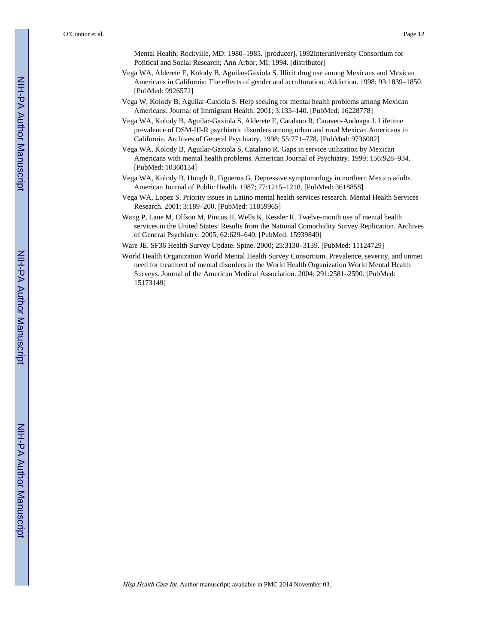Mental Health; Rockville, MD: 1980–1985. [producer], 1992Interuniversity Consortium for Political and Social Research; Ann Arbor, MI: 1994. [distributor]

- Vega WA, Alderete E, Kolody B, Aguilar-Gaxiola S. Illicit drug use among Mexicans and Mexican Americans in California: The effects of gender and acculturation. Addiction. 1998; 93:1839–1850. [PubMed: 9926572]
- Vega W, Kolody B, Aguilar-Gaxiola S. Help seeking for mental health problems among Mexican Americans. Journal of Immigrant Health. 2001; 3:133–140. [PubMed: 16228778]

Vega WA, Kolody B, Aguilar-Gaxiola S, Alderete E, Catalano R, Caraveo-Anduaga J. Lifetime prevalence of DSM-III-R psychiatric disorders among urban and rural Mexican Americans in California. Archives of General Psychiatry. 1998; 55:771–778. [PubMed: 9736002]

Vega WA, Kolody B, Aguilar-Gaxiola S, Catalano R. Gaps in service utilization by Mexican Americans with mental health problems. American Journal of Psychiatry. 1999; 156:928–934. [PubMed: 10360134]

- Vega WA, Kolody B, Hough R, Figueroa G. Depressive symptomology in northern Mexico adults. American Journal of Public Health. 1987; 77:1215–1218. [PubMed: 3618858]
- Vega WA, Lopez S. Priority issues in Latino mental health services research. Mental Health Services Research. 2001; 3:189–200. [PubMed: 11859965]
- Wang P, Lane M, Olfson M, Pincus H, Wells K, Kessler R. Twelve-month use of mental health services in the United States: Results from the National Comorbidity Survey Replication. Archives of General Psychiatry. 2005; 62:629–640. [PubMed: 15939840]

Ware JE. SF36 Health Survey Update. Spine. 2000; 25:3130–3139. [PubMed: 11124729]

World Health Organization World Mental Health Survey Consortium. Prevalence, severity, and unmet need for treatment of mental disorders in the World Health Organization World Mental Health Surveys. Journal of the American Medical Association. 2004; 291:2581–2590. [PubMed: 15173149]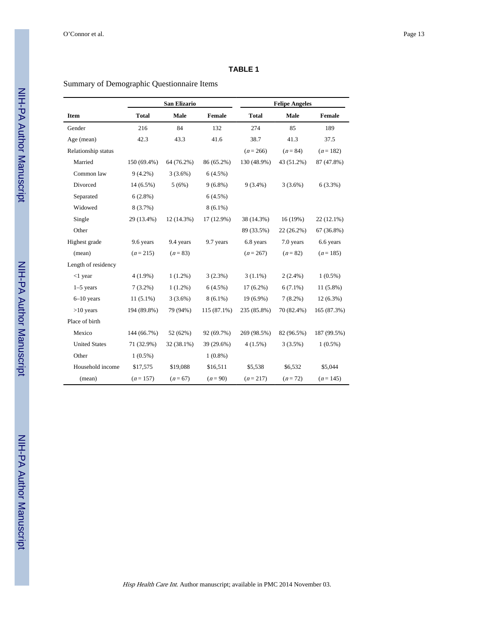#### **TABLE 1**

#### Summary of Demographic Questionnaire Items

|                      |              | San Elizario |             |              | <b>Felipe Angeles</b> |             |
|----------------------|--------------|--------------|-------------|--------------|-----------------------|-------------|
| <b>Item</b>          | <b>Total</b> | Male         | Female      | <b>Total</b> | Male                  | Female      |
| Gender               | 216          | 84           | 132         | 274          | 85                    | 189         |
| Age (mean)           | 42.3         | 43.3         | 41.6        | 38.7         | 41.3                  | 37.5        |
| Relationship status  |              |              |             | $(n = 266)$  | $(n = 84)$            | $(n=182)$   |
| Married              | 150 (69.4%)  | 64 (76.2%)   | 86 (65.2%)  | 130 (48.9%)  | 43 (51.2%)            | 87 (47.8%)  |
| Common law           | $9(4.2\%)$   | $3(3.6\%)$   | 6(4.5%)     |              |                       |             |
| Divorced             | $14(6.5\%)$  | 5(6%)        | $9(6.8\%)$  | $9(3.4\%)$   | $3(3.6\%)$            | $6(3.3\%)$  |
| Separated            | $6(2.8\%)$   |              | $6(4.5\%)$  |              |                       |             |
| Widowed              | 8 (3.7%)     |              | $8(6.1\%)$  |              |                       |             |
| Single               | 29 (13.4%)   | 12 (14.3%)   | 17 (12.9%)  | 38 (14.3%)   | 16(19%)               | 22 (12.1%)  |
| Other                |              |              |             | 89 (33.5%)   | 22 (26.2%)            | 67 (36.8%)  |
| Highest grade        | 9.6 years    | 9.4 years    | 9.7 years   | 6.8 years    | 7.0 years             | 6.6 years   |
| (mean)               | $(n=215)$    | $(n=83)$     |             | $(n = 267)$  | $(n=82)$              | $(n=185)$   |
| Length of residency  |              |              |             |              |                       |             |
| $<$ 1 year           | $4(1.9\%)$   | $1(1.2\%)$   | 3(2.3%)     | $3(1.1\%)$   | $2(2.4\%)$            | $1(0.5\%)$  |
| $1-5$ years          | $7(3.2\%)$   | $1(1.2\%)$   | 6(4.5%)     | 17 (6.2%)    | $6(7.1\%)$            | $11(5.8\%)$ |
| $6 - 10$ years       | $11(5.1\%)$  | $3(3.6\%)$   | $8(6.1\%)$  | $19(6.9\%)$  | $7(8.2\%)$            | $12(6.3\%)$ |
| $>10$ years          | 194 (89.8%)  | 79 (94%)     | 115 (87.1%) | 235 (85.8%)  | 70 (82.4%)            | 165 (87.3%) |
| Place of birth       |              |              |             |              |                       |             |
| Mexico               | 144 (66.7%)  | 52 (62%)     | 92 (69.7%)  | 269 (98.5%)  | 82 (96.5%)            | 187 (99.5%) |
| <b>United States</b> | 71 (32.9%)   | 32 (38.1%)   | 39 (29.6%)  | $4(1.5\%)$   | $3(3.5\%)$            | $1(0.5\%)$  |
| Other                | $1(0.5\%)$   |              | $1(0.8\%)$  |              |                       |             |
| Household income     | \$17,575     | \$19,088     | \$16,511    | \$5,538      | \$6,532               | \$5,044     |
| (mean)               | $(n=157)$    | $(n = 67)$   | $(n = 90)$  | $(n=217)$    | $(n=72)$              | $(n = 145)$ |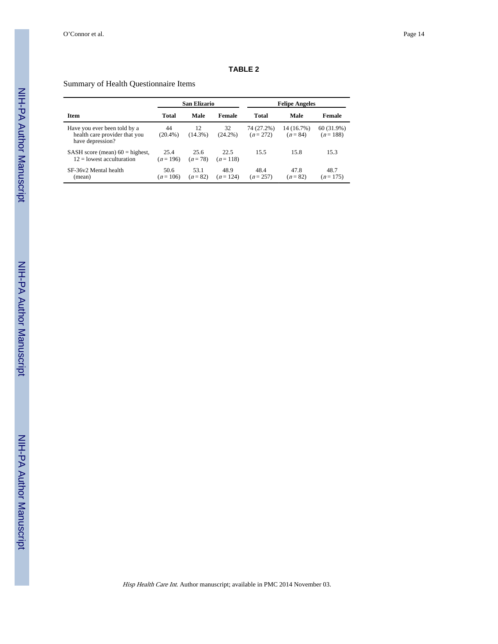#### **TABLE 2**

#### Summary of Health Questionnaire Items

|                                                                                   | <b>San Elizario</b> |                  |                   | <b>Felipe Angeles</b>     |                          |                         |
|-----------------------------------------------------------------------------------|---------------------|------------------|-------------------|---------------------------|--------------------------|-------------------------|
| <b>Item</b>                                                                       | <b>Total</b>        | Male             | Female            | Total                     | Male                     | Female                  |
| Have you ever been told by a<br>health care provider that you<br>have depression? | 44<br>$(20.4\%)$    | 12<br>$(14.3\%)$ | 32<br>$(24.2\%)$  | 74 (27.2%)<br>$(n = 272)$ | 14 (16.7%)<br>$(n = 84)$ | 60 (31.9%)<br>$(n=188)$ |
| SASH score (mean) $60 =$ highest,<br>$12 =$ lowest acculturation                  | 25.4<br>$(n=196)$   | 25.6<br>$(n=78)$ | 22.5<br>$(n=118)$ | 15.5                      | 15.8                     | 15.3                    |
| SF-36y2 Mental health<br>(mean)                                                   | 50.6<br>$(n=106)$   | 53.1<br>$(n=82)$ | 48.9<br>$(n=124)$ | 48.4<br>$(n=257)$         | 47.8<br>$(n=82)$         | 48.7<br>$(n=175)$       |